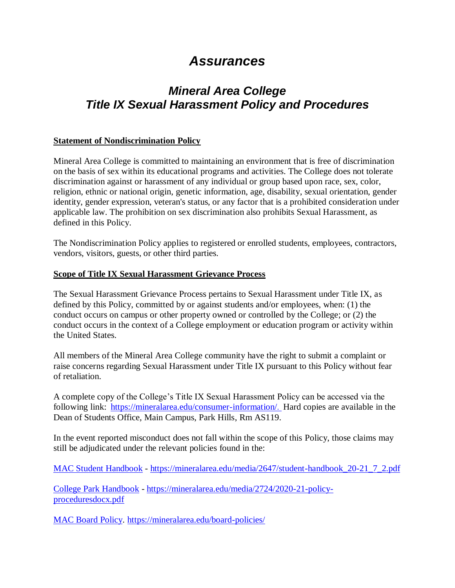# *Assurances*

# *Mineral Area College Title IX Sexual Harassment Policy and Procedures*

#### **Statement of Nondiscrimination Policy**

Mineral Area College is committed to maintaining an environment that is free of discrimination on the basis of sex within its educational programs and activities. The College does not tolerate discrimination against or harassment of any individual or group based upon race, sex, color, religion, ethnic or national origin, genetic information, age, disability, sexual orientation, gender identity, gender expression, veteran's status, or any factor that is a prohibited consideration under applicable law. The prohibition on sex discrimination also prohibits Sexual Harassment, as defined in this Policy.

The Nondiscrimination Policy applies to registered or enrolled students, employees, contractors, vendors, visitors, guests, or other third parties.

#### **Scope of Title IX Sexual Harassment Grievance Process**

The Sexual Harassment Grievance Process pertains to Sexual Harassment under Title IX, as defined by this Policy, committed by or against students and/or employees, when: (1) the conduct occurs on campus or other property owned or controlled by the College; or (2) the conduct occurs in the context of a College employment or education program or activity within the United States.

All members of the Mineral Area College community have the right to submit a complaint or raise concerns regarding Sexual Harassment under Title IX pursuant to this Policy without fear of retaliation.

A complete copy of the College's Title IX Sexual Harassment Policy can be accessed via the following link: <https://mineralarea.edu/consumer-information/>. Hard copies are available in the Dean of Students Office, Main Campus, Park Hills, Rm AS119.

In the event reported misconduct does not fall within the scope of this Policy, those claims may still be adjudicated under the relevant policies found in the:

[MAC Student Handbook](https://mineralarea.edu/media/2647/student-handbook_20-21_7_2.pdf) - [https://mineralarea.edu/media/2647/student-handbook\\_20-21\\_7\\_2.pdf](https://mineralarea.edu/media/2647/student-handbook_20-21_7_2.pdf)

[College Park Handbook](https://mineralarea.edu/media/2724/2020-21-policy-proceduresdocx.pdf) - [https://mineralarea.edu/media/2724/2020-21-policy](https://mineralarea.edu/media/2724/2020-21-policy-proceduresdocx.pdf)[proceduresdocx.pdf](https://mineralarea.edu/media/2724/2020-21-policy-proceduresdocx.pdf)

[MAC Board Policy.](file:///C:/Users/jsheets/Downloads/MAC%20Board%20Policy)<https://mineralarea.edu/board-policies/>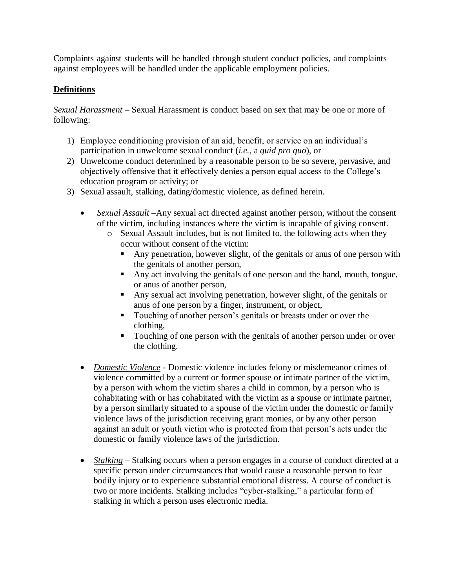Complaints against students will be handled through student conduct policies, and complaints against employees will be handled under the applicable employment policies.

# **Definitions**

*Sexual Harassment* – Sexual Harassment is conduct based on sex that may be one or more of following:

- 1) Employee conditioning provision of an aid, benefit, or service on an individual's participation in unwelcome sexual conduct (*i.e.,* a *quid pro quo*), or
- 2) Unwelcome conduct determined by a reasonable person to be so severe, pervasive, and objectively offensive that it effectively denies a person equal access to the College's education program or activity; or
- 3) Sexual assault, stalking, dating/domestic violence, as defined herein.
	- *Sexual Assault* –Any sexual act directed against another person, without the consent of the victim, including instances where the victim is incapable of giving consent.
		- o Sexual Assault includes, but is not limited to, the following acts when they occur without consent of the victim:
			- Any penetration, however slight, of the genitals or any of one person with the genitals of another person,
			- Any act involving the genitals of one person and the hand, mouth, tongue, or anus of another person,
			- Any sexual act involving penetration, however slight, of the genitals or anus of one person by a finger, instrument, or object,
			- Touching of another person's genitals or breasts under or over the clothing,
			- Touching of one person with the genitals of another person under or over the clothing.
	- *Domestic Violence* Domestic violence includes felony or misdemeanor crimes of violence committed by a current or former spouse or intimate partner of the victim, by a person with whom the victim shares a child in common, by a person who is cohabitating with or has cohabitated with the victim as a spouse or intimate partner, by a person similarly situated to a spouse of the victim under the domestic or family violence laws of the jurisdiction receiving grant monies, or by any other person against an adult or youth victim who is protected from that person's acts under the domestic or family violence laws of the jurisdiction.
	- *Stalking* Stalking occurs when a person engages in a course of conduct directed at a specific person under circumstances that would cause a reasonable person to fear bodily injury or to experience substantial emotional distress. A course of conduct is two or more incidents. Stalking includes "cyber-stalking," a particular form of stalking in which a person uses electronic media.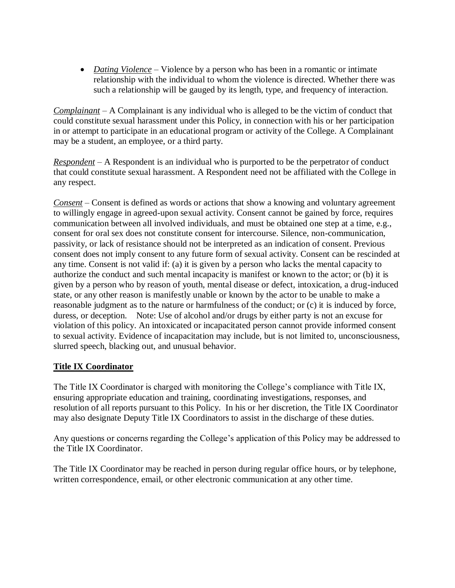• *Dating Violence* – Violence by a person who has been in a romantic or intimate relationship with the individual to whom the violence is directed. Whether there was such a relationship will be gauged by its length, type, and frequency of interaction.

*Complainant* – A Complainant is any individual who is alleged to be the victim of conduct that could constitute sexual harassment under this Policy, in connection with his or her participation in or attempt to participate in an educational program or activity of the College. A Complainant may be a student, an employee, or a third party.

*Respondent* – A Respondent is an individual who is purported to be the perpetrator of conduct that could constitute sexual harassment. A Respondent need not be affiliated with the College in any respect.

*Consent* – Consent is defined as words or actions that show a knowing and voluntary agreement to willingly engage in agreed-upon sexual activity. Consent cannot be gained by force, requires communication between all involved individuals, and must be obtained one step at a time, e.g., consent for oral sex does not constitute consent for intercourse. Silence, non-communication, passivity, or lack of resistance should not be interpreted as an indication of consent. Previous consent does not imply consent to any future form of sexual activity. Consent can be rescinded at any time. Consent is not valid if: (a) it is given by a person who lacks the mental capacity to authorize the conduct and such mental incapacity is manifest or known to the actor; or (b) it is given by a person who by reason of youth, mental disease or defect, intoxication, a drug-induced state, or any other reason is manifestly unable or known by the actor to be unable to make a reasonable judgment as to the nature or harmfulness of the conduct; or (c) it is induced by force, duress, or deception. Note: Use of alcohol and/or drugs by either party is not an excuse for violation of this policy. An intoxicated or incapacitated person cannot provide informed consent to sexual activity. Evidence of incapacitation may include, but is not limited to, unconsciousness, slurred speech, blacking out, and unusual behavior.

## **Title IX Coordinator**

The Title IX Coordinator is charged with monitoring the College's compliance with Title IX, ensuring appropriate education and training, coordinating investigations, responses, and resolution of all reports pursuant to this Policy. In his or her discretion, the Title IX Coordinator may also designate Deputy Title IX Coordinators to assist in the discharge of these duties.

Any questions or concerns regarding the College's application of this Policy may be addressed to the Title IX Coordinator.

The Title IX Coordinator may be reached in person during regular office hours, or by telephone, written correspondence, email, or other electronic communication at any other time.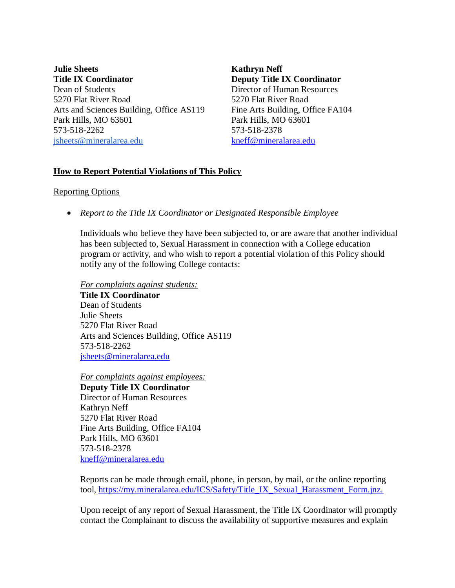**Julie Sheets Title IX Coordinator** Dean of Students 5270 Flat River Road Arts and Sciences Building, Office AS119 Park Hills, MO 63601 573-518-2262 [jsheets@mineralarea.edu](mailto:jsheets@mineralarea.edu)

**Kathryn Neff Deputy Title IX Coordinator** Director of Human Resources 5270 Flat River Road Fine Arts Building, Office FA104 Park Hills, MO 63601 573-518-2378 [kneff@mineralarea.edu](mailto:kneff@mineralarea.edu)

## **How to Report Potential Violations of This Policy**

#### Reporting Options

*Report to the Title IX Coordinator or Designated Responsible Employee*

Individuals who believe they have been subjected to, or are aware that another individual has been subjected to, Sexual Harassment in connection with a College education program or activity, and who wish to report a potential violation of this Policy should notify any of the following College contacts:

*For complaints against students:* **Title IX Coordinator** Dean of Students Julie Sheets 5270 Flat River Road Arts and Sciences Building, Office AS119 573-518-2262 [jsheets@mineralarea.edu](mailto:jsheets@mineralarea.edu)

*For complaints against employees:*

**Deputy Title IX Coordinator** Director of Human Resources Kathryn Neff 5270 Flat River Road Fine Arts Building, Office FA104 Park Hills, MO 63601 573-518-2378 [kneff@mineralarea.edu](mailto:kneff@mineralarea.edu)

Reports can be made through email, phone, in person, by mail, or the online reporting tool, [https://my.mineralarea.edu/ICS/Safety/Title\\_IX\\_Sexual\\_Harassment\\_Form.jnz.](https://my.mineralarea.edu/ICS/Safety/Title_IX_Sexual_Harassment_Form.jnz.)

Upon receipt of any report of Sexual Harassment, the Title IX Coordinator will promptly contact the Complainant to discuss the availability of supportive measures and explain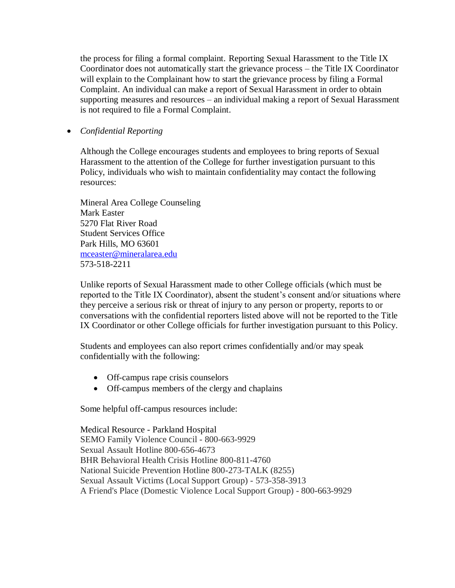the process for filing a formal complaint. Reporting Sexual Harassment to the Title IX Coordinator does not automatically start the grievance process – the Title IX Coordinator will explain to the Complainant how to start the grievance process by filing a Formal Complaint. An individual can make a report of Sexual Harassment in order to obtain supporting measures and resources – an individual making a report of Sexual Harassment is not required to file a Formal Complaint.

#### *Confidential Reporting*

Although the College encourages students and employees to bring reports of Sexual Harassment to the attention of the College for further investigation pursuant to this Policy, individuals who wish to maintain confidentiality may contact the following resources:

Mineral Area College Counseling Mark Easter 5270 Flat River Road Student Services Office Park Hills, MO 63601 [mceaster@mineralarea.edu](mailto:mceaster@mineralarea.edu) 573-518-2211

Unlike reports of Sexual Harassment made to other College officials (which must be reported to the Title IX Coordinator), absent the student's consent and/or situations where they perceive a serious risk or threat of injury to any person or property, reports to or conversations with the confidential reporters listed above will not be reported to the Title IX Coordinator or other College officials for further investigation pursuant to this Policy.

Students and employees can also report crimes confidentially and/or may speak confidentially with the following:

- Off-campus rape crisis counselors
- Off-campus members of the clergy and chaplains

Some helpful off-campus resources include:

Medical Resource - Parkland Hospital SEMO Family Violence Council - 800-663-9929 Sexual Assault Hotline 800-656-4673 BHR Behavioral Health Crisis Hotline 800-811-4760 National Suicide Prevention Hotline 800-273-TALK (8255) Sexual Assault Victims (Local Support Group) - 573-358-3913 A Friend's Place (Domestic Violence Local Support Group) - 800-663-9929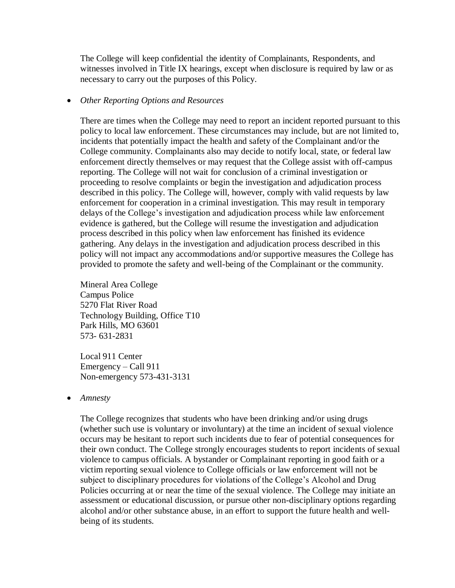The College will keep confidential the identity of Complainants, Respondents, and witnesses involved in Title IX hearings, except when disclosure is required by law or as necessary to carry out the purposes of this Policy.

#### *Other Reporting Options and Resources*

There are times when the College may need to report an incident reported pursuant to this policy to local law enforcement. These circumstances may include, but are not limited to, incidents that potentially impact the health and safety of the Complainant and/or the College community. Complainants also may decide to notify local, state, or federal law enforcement directly themselves or may request that the College assist with off-campus reporting. The College will not wait for conclusion of a criminal investigation or proceeding to resolve complaints or begin the investigation and adjudication process described in this policy. The College will, however, comply with valid requests by law enforcement for cooperation in a criminal investigation. This may result in temporary delays of the College's investigation and adjudication process while law enforcement evidence is gathered, but the College will resume the investigation and adjudication process described in this policy when law enforcement has finished its evidence gathering. Any delays in the investigation and adjudication process described in this policy will not impact any accommodations and/or supportive measures the College has provided to promote the safety and well-being of the Complainant or the community.

Mineral Area College Campus Police 5270 Flat River Road Technology Building, Office T10 Park Hills, MO 63601 573- 631-2831

Local 911 Center Emergency – Call 911 Non-emergency 573-431-3131

*Amnesty*

The College recognizes that students who have been drinking and/or using drugs (whether such use is voluntary or involuntary) at the time an incident of sexual violence occurs may be hesitant to report such incidents due to fear of potential consequences for their own conduct. The College strongly encourages students to report incidents of sexual violence to campus officials. A bystander or Complainant reporting in good faith or a victim reporting sexual violence to College officials or law enforcement will not be subject to disciplinary procedures for violations of the College's Alcohol and Drug Policies occurring at or near the time of the sexual violence. The College may initiate an assessment or educational discussion, or pursue other non-disciplinary options regarding alcohol and/or other substance abuse, in an effort to support the future health and wellbeing of its students.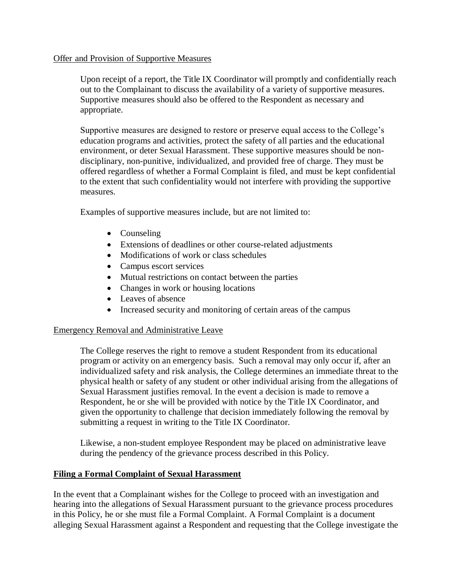#### Offer and Provision of Supportive Measures

Upon receipt of a report, the Title IX Coordinator will promptly and confidentially reach out to the Complainant to discuss the availability of a variety of supportive measures. Supportive measures should also be offered to the Respondent as necessary and appropriate.

Supportive measures are designed to restore or preserve equal access to the College's education programs and activities, protect the safety of all parties and the educational environment, or deter Sexual Harassment. These supportive measures should be nondisciplinary, non-punitive, individualized, and provided free of charge. They must be offered regardless of whether a Formal Complaint is filed, and must be kept confidential to the extent that such confidentiality would not interfere with providing the supportive measures.

Examples of supportive measures include, but are not limited to:

- Counseling
- Extensions of deadlines or other course-related adjustments
- Modifications of work or class schedules
- Campus escort services
- Mutual restrictions on contact between the parties
- Changes in work or housing locations
- Leaves of absence
- Increased security and monitoring of certain areas of the campus

## Emergency Removal and Administrative Leave

The College reserves the right to remove a student Respondent from its educational program or activity on an emergency basis. Such a removal may only occur if, after an individualized safety and risk analysis, the College determines an immediate threat to the physical health or safety of any student or other individual arising from the allegations of Sexual Harassment justifies removal. In the event a decision is made to remove a Respondent, he or she will be provided with notice by the Title IX Coordinator, and given the opportunity to challenge that decision immediately following the removal by submitting a request in writing to the Title IX Coordinator.

Likewise, a non-student employee Respondent may be placed on administrative leave during the pendency of the grievance process described in this Policy.

## **Filing a Formal Complaint of Sexual Harassment**

In the event that a Complainant wishes for the College to proceed with an investigation and hearing into the allegations of Sexual Harassment pursuant to the grievance process procedures in this Policy, he or she must file a Formal Complaint. A Formal Complaint is a document alleging Sexual Harassment against a Respondent and requesting that the College investigate the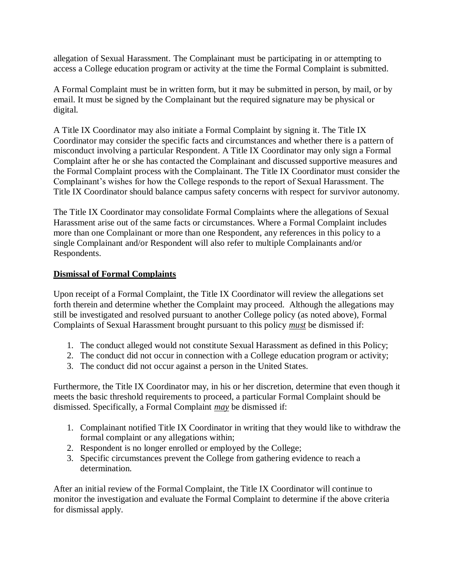allegation of Sexual Harassment. The Complainant must be participating in or attempting to access a College education program or activity at the time the Formal Complaint is submitted.

A Formal Complaint must be in written form, but it may be submitted in person, by mail, or by email. It must be signed by the Complainant but the required signature may be physical or digital.

A Title IX Coordinator may also initiate a Formal Complaint by signing it. The Title IX Coordinator may consider the specific facts and circumstances and whether there is a pattern of misconduct involving a particular Respondent. A Title IX Coordinator may only sign a Formal Complaint after he or she has contacted the Complainant and discussed supportive measures and the Formal Complaint process with the Complainant. The Title IX Coordinator must consider the Complainant's wishes for how the College responds to the report of Sexual Harassment. The Title IX Coordinator should balance campus safety concerns with respect for survivor autonomy.

The Title IX Coordinator may consolidate Formal Complaints where the allegations of Sexual Harassment arise out of the same facts or circumstances. Where a Formal Complaint includes more than one Complainant or more than one Respondent, any references in this policy to a single Complainant and/or Respondent will also refer to multiple Complainants and/or Respondents.

## **Dismissal of Formal Complaints**

Upon receipt of a Formal Complaint, the Title IX Coordinator will review the allegations set forth therein and determine whether the Complaint may proceed. Although the allegations may still be investigated and resolved pursuant to another College policy (as noted above), Formal Complaints of Sexual Harassment brought pursuant to this policy *must* be dismissed if:

- 1. The conduct alleged would not constitute Sexual Harassment as defined in this Policy;
- 2. The conduct did not occur in connection with a College education program or activity;
- 3. The conduct did not occur against a person in the United States.

Furthermore, the Title IX Coordinator may, in his or her discretion, determine that even though it meets the basic threshold requirements to proceed, a particular Formal Complaint should be dismissed. Specifically, a Formal Complaint *may* be dismissed if:

- 1. Complainant notified Title IX Coordinator in writing that they would like to withdraw the formal complaint or any allegations within;
- 2. Respondent is no longer enrolled or employed by the College;
- 3. Specific circumstances prevent the College from gathering evidence to reach a determination.

After an initial review of the Formal Complaint, the Title IX Coordinator will continue to monitor the investigation and evaluate the Formal Complaint to determine if the above criteria for dismissal apply.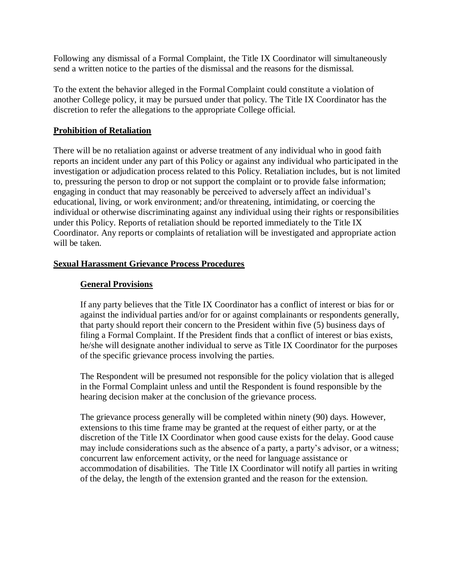Following any dismissal of a Formal Complaint, the Title IX Coordinator will simultaneously send a written notice to the parties of the dismissal and the reasons for the dismissal.

To the extent the behavior alleged in the Formal Complaint could constitute a violation of another College policy, it may be pursued under that policy. The Title IX Coordinator has the discretion to refer the allegations to the appropriate College official.

## **Prohibition of Retaliation**

There will be no retaliation against or adverse treatment of any individual who in good faith reports an incident under any part of this Policy or against any individual who participated in the investigation or adjudication process related to this Policy. Retaliation includes, but is not limited to, pressuring the person to drop or not support the complaint or to provide false information; engaging in conduct that may reasonably be perceived to adversely affect an individual's educational, living, or work environment; and/or threatening, intimidating, or coercing the individual or otherwise discriminating against any individual using their rights or responsibilities under this Policy. Reports of retaliation should be reported immediately to the Title IX Coordinator. Any reports or complaints of retaliation will be investigated and appropriate action will be taken.

#### **Sexual Harassment Grievance Process Procedures**

## **General Provisions**

If any party believes that the Title IX Coordinator has a conflict of interest or bias for or against the individual parties and/or for or against complainants or respondents generally, that party should report their concern to the President within five (5) business days of filing a Formal Complaint. If the President finds that a conflict of interest or bias exists, he/she will designate another individual to serve as Title IX Coordinator for the purposes of the specific grievance process involving the parties.

The Respondent will be presumed not responsible for the policy violation that is alleged in the Formal Complaint unless and until the Respondent is found responsible by the hearing decision maker at the conclusion of the grievance process.

The grievance process generally will be completed within ninety (90) days. However, extensions to this time frame may be granted at the request of either party, or at the discretion of the Title IX Coordinator when good cause exists for the delay. Good cause may include considerations such as the absence of a party, a party's advisor, or a witness; concurrent law enforcement activity, or the need for language assistance or accommodation of disabilities. The Title IX Coordinator will notify all parties in writing of the delay, the length of the extension granted and the reason for the extension.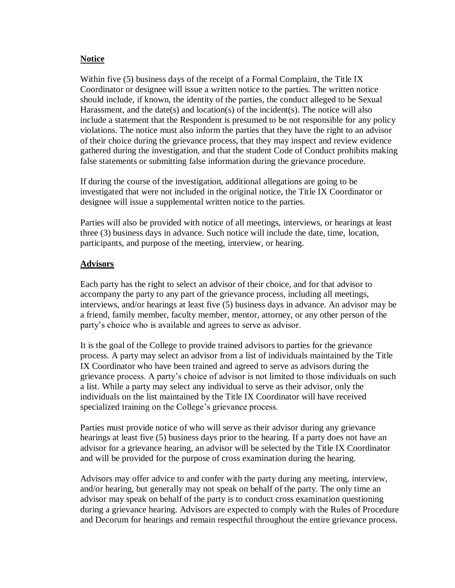## **Notice**

Within five (5) business days of the receipt of a Formal Complaint, the Title IX Coordinator or designee will issue a written notice to the parties. The written notice should include, if known, the identity of the parties, the conduct alleged to be Sexual Harassment, and the date(s) and location(s) of the incident(s). The notice will also include a statement that the Respondent is presumed to be not responsible for any policy violations. The notice must also inform the parties that they have the right to an advisor of their choice during the grievance process, that they may inspect and review evidence gathered during the investigation, and that the student Code of Conduct prohibits making false statements or submitting false information during the grievance procedure.

If during the course of the investigation, additional allegations are going to be investigated that were not included in the original notice, the Title IX Coordinator or designee will issue a supplemental written notice to the parties.

Parties will also be provided with notice of all meetings, interviews, or hearings at least three (3) business days in advance. Such notice will include the date, time, location, participants, and purpose of the meeting, interview, or hearing.

## **Advisors**

Each party has the right to select an advisor of their choice, and for that advisor to accompany the party to any part of the grievance process, including all meetings, interviews, and/or hearings at least five (5) business days in advance. An advisor may be a friend, family member, faculty member, mentor, attorney, or any other person of the party's choice who is available and agrees to serve as advisor.

It is the goal of the College to provide trained advisors to parties for the grievance process. A party may select an advisor from a list of individuals maintained by the Title IX Coordinator who have been trained and agreed to serve as advisors during the grievance process. A party's choice of advisor is not limited to those individuals on such a list. While a party may select any individual to serve as their advisor, only the individuals on the list maintained by the Title IX Coordinator will have received specialized training on the College's grievance process.

Parties must provide notice of who will serve as their advisor during any grievance hearings at least five (5) business days prior to the hearing. If a party does not have an advisor for a grievance hearing, an advisor will be selected by the Title IX Coordinator and will be provided for the purpose of cross examination during the hearing.

Advisors may offer advice to and confer with the party during any meeting, interview, and/or hearing, but generally may not speak on behalf of the party. The only time an advisor may speak on behalf of the party is to conduct cross examination questioning during a grievance hearing. Advisors are expected to comply with the Rules of Procedure and Decorum for hearings and remain respectful throughout the entire grievance process.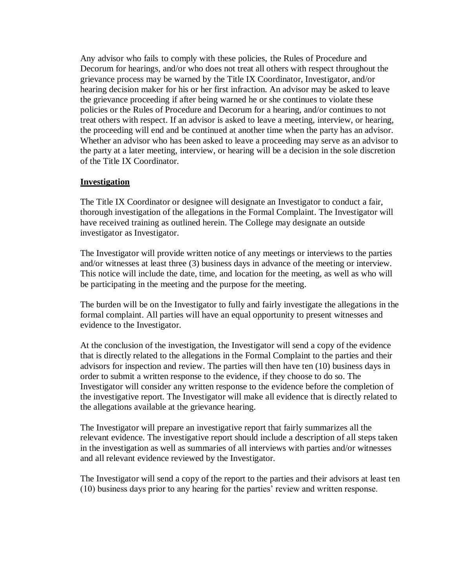Any advisor who fails to comply with these policies, the Rules of Procedure and Decorum for hearings, and/or who does not treat all others with respect throughout the grievance process may be warned by the Title IX Coordinator, Investigator, and/or hearing decision maker for his or her first infraction. An advisor may be asked to leave the grievance proceeding if after being warned he or she continues to violate these policies or the Rules of Procedure and Decorum for a hearing, and/or continues to not treat others with respect. If an advisor is asked to leave a meeting, interview, or hearing, the proceeding will end and be continued at another time when the party has an advisor. Whether an advisor who has been asked to leave a proceeding may serve as an advisor to the party at a later meeting, interview, or hearing will be a decision in the sole discretion of the Title IX Coordinator.

#### **Investigation**

The Title IX Coordinator or designee will designate an Investigator to conduct a fair, thorough investigation of the allegations in the Formal Complaint. The Investigator will have received training as outlined herein. The College may designate an outside investigator as Investigator.

The Investigator will provide written notice of any meetings or interviews to the parties and/or witnesses at least three (3) business days in advance of the meeting or interview. This notice will include the date, time, and location for the meeting, as well as who will be participating in the meeting and the purpose for the meeting.

The burden will be on the Investigator to fully and fairly investigate the allegations in the formal complaint. All parties will have an equal opportunity to present witnesses and evidence to the Investigator.

At the conclusion of the investigation, the Investigator will send a copy of the evidence that is directly related to the allegations in the Formal Complaint to the parties and their advisors for inspection and review. The parties will then have ten (10) business days in order to submit a written response to the evidence, if they choose to do so. The Investigator will consider any written response to the evidence before the completion of the investigative report. The Investigator will make all evidence that is directly related to the allegations available at the grievance hearing.

The Investigator will prepare an investigative report that fairly summarizes all the relevant evidence. The investigative report should include a description of all steps taken in the investigation as well as summaries of all interviews with parties and/or witnesses and all relevant evidence reviewed by the Investigator.

The Investigator will send a copy of the report to the parties and their advisors at least ten (10) business days prior to any hearing for the parties' review and written response.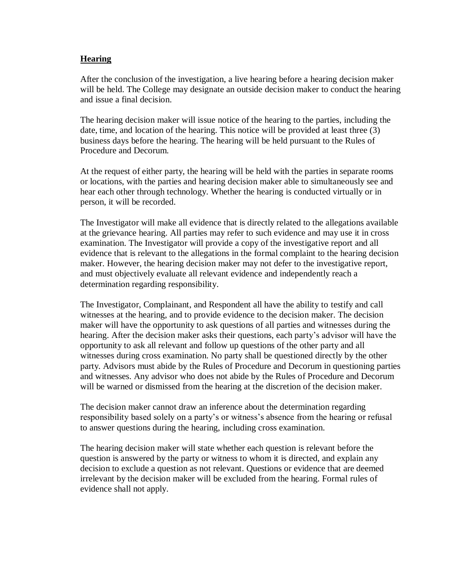### **Hearing**

After the conclusion of the investigation, a live hearing before a hearing decision maker will be held. The College may designate an outside decision maker to conduct the hearing and issue a final decision.

The hearing decision maker will issue notice of the hearing to the parties, including the date, time, and location of the hearing. This notice will be provided at least three (3) business days before the hearing. The hearing will be held pursuant to the Rules of Procedure and Decorum.

At the request of either party, the hearing will be held with the parties in separate rooms or locations, with the parties and hearing decision maker able to simultaneously see and hear each other through technology. Whether the hearing is conducted virtually or in person, it will be recorded.

The Investigator will make all evidence that is directly related to the allegations available at the grievance hearing. All parties may refer to such evidence and may use it in cross examination. The Investigator will provide a copy of the investigative report and all evidence that is relevant to the allegations in the formal complaint to the hearing decision maker. However, the hearing decision maker may not defer to the investigative report, and must objectively evaluate all relevant evidence and independently reach a determination regarding responsibility.

The Investigator, Complainant, and Respondent all have the ability to testify and call witnesses at the hearing, and to provide evidence to the decision maker. The decision maker will have the opportunity to ask questions of all parties and witnesses during the hearing. After the decision maker asks their questions, each party's advisor will have the opportunity to ask all relevant and follow up questions of the other party and all witnesses during cross examination. No party shall be questioned directly by the other party. Advisors must abide by the Rules of Procedure and Decorum in questioning parties and witnesses. Any advisor who does not abide by the Rules of Procedure and Decorum will be warned or dismissed from the hearing at the discretion of the decision maker.

The decision maker cannot draw an inference about the determination regarding responsibility based solely on a party's or witness's absence from the hearing or refusal to answer questions during the hearing, including cross examination.

The hearing decision maker will state whether each question is relevant before the question is answered by the party or witness to whom it is directed, and explain any decision to exclude a question as not relevant. Questions or evidence that are deemed irrelevant by the decision maker will be excluded from the hearing. Formal rules of evidence shall not apply.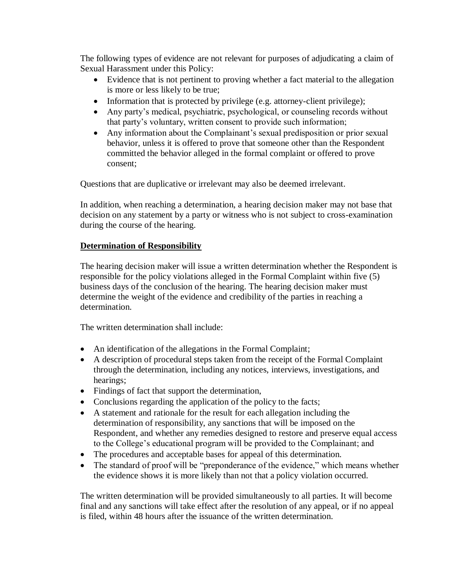The following types of evidence are not relevant for purposes of adjudicating a claim of Sexual Harassment under this Policy:

- Evidence that is not pertinent to proving whether a fact material to the allegation is more or less likely to be true;
- Information that is protected by privilege (e.g. attorney-client privilege);
- Any party's medical, psychiatric, psychological, or counseling records without that party's voluntary, written consent to provide such information;
- Any information about the Complainant's sexual predisposition or prior sexual behavior, unless it is offered to prove that someone other than the Respondent committed the behavior alleged in the formal complaint or offered to prove consent;

Questions that are duplicative or irrelevant may also be deemed irrelevant.

In addition, when reaching a determination, a hearing decision maker may not base that decision on any statement by a party or witness who is not subject to cross-examination during the course of the hearing.

## **Determination of Responsibility**

The hearing decision maker will issue a written determination whether the Respondent is responsible for the policy violations alleged in the Formal Complaint within five (5) business days of the conclusion of the hearing. The hearing decision maker must determine the weight of the evidence and credibility of the parties in reaching a determination.

The written determination shall include:

- An identification of the allegations in the Formal Complaint;
- A description of procedural steps taken from the receipt of the Formal Complaint through the determination, including any notices, interviews, investigations, and hearings;
- Findings of fact that support the determination,
- Conclusions regarding the application of the policy to the facts;
- A statement and rationale for the result for each allegation including the determination of responsibility, any sanctions that will be imposed on the Respondent, and whether any remedies designed to restore and preserve equal access to the College's educational program will be provided to the Complainant; and
- The procedures and acceptable bases for appeal of this determination.
- The standard of proof will be "preponderance of the evidence," which means whether the evidence shows it is more likely than not that a policy violation occurred.

The written determination will be provided simultaneously to all parties. It will become final and any sanctions will take effect after the resolution of any appeal, or if no appeal is filed, within 48 hours after the issuance of the written determination.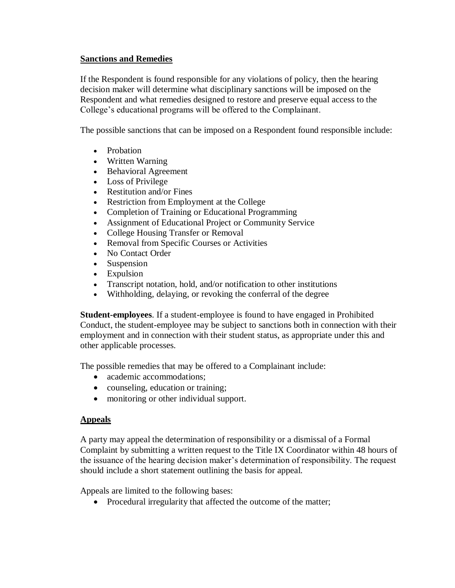## **Sanctions and Remedies**

If the Respondent is found responsible for any violations of policy, then the hearing decision maker will determine what disciplinary sanctions will be imposed on the Respondent and what remedies designed to restore and preserve equal access to the College's educational programs will be offered to the Complainant.

The possible sanctions that can be imposed on a Respondent found responsible include:

- Probation
- Written Warning
- Behavioral Agreement
- Loss of Privilege
- Restitution and/or Fines
- Restriction from Employment at the College
- Completion of Training or Educational Programming
- Assignment of Educational Project or Community Service
- College Housing Transfer or Removal
- Removal from Specific Courses or Activities
- No Contact Order
- Suspension
- Expulsion
- Transcript notation, hold, and/or notification to other institutions
- Withholding, delaying, or revoking the conferral of the degree

**Student-employees**. If a student-employee is found to have engaged in Prohibited Conduct, the student-employee may be subject to sanctions both in connection with their employment and in connection with their student status, as appropriate under this and other applicable processes.

The possible remedies that may be offered to a Complainant include:

- academic accommodations:
- counseling, education or training;
- monitoring or other individual support.

## **Appeals**

A party may appeal the determination of responsibility or a dismissal of a Formal Complaint by submitting a written request to the Title IX Coordinator within 48 hours of the issuance of the hearing decision maker's determination of responsibility. The request should include a short statement outlining the basis for appeal.

Appeals are limited to the following bases:

• Procedural irregularity that affected the outcome of the matter;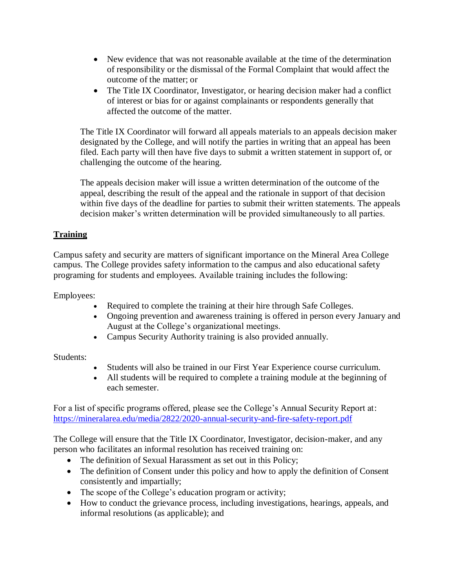- New evidence that was not reasonable available at the time of the determination of responsibility or the dismissal of the Formal Complaint that would affect the outcome of the matter; or
- The Title IX Coordinator, Investigator, or hearing decision maker had a conflict of interest or bias for or against complainants or respondents generally that affected the outcome of the matter.

The Title IX Coordinator will forward all appeals materials to an appeals decision maker designated by the College, and will notify the parties in writing that an appeal has been filed. Each party will then have five days to submit a written statement in support of, or challenging the outcome of the hearing.

The appeals decision maker will issue a written determination of the outcome of the appeal, describing the result of the appeal and the rationale in support of that decision within five days of the deadline for parties to submit their written statements. The appeals decision maker's written determination will be provided simultaneously to all parties.

## **Training**

Campus safety and security are matters of significant importance on the Mineral Area College campus. The College provides safety information to the campus and also educational safety programing for students and employees. Available training includes the following:

Employees:

- Required to complete the training at their hire through Safe Colleges.
- Ongoing prevention and awareness training is offered in person every January and August at the College's organizational meetings.
- Campus Security Authority training is also provided annually.

Students:

- Students will also be trained in our First Year Experience course curriculum.
- All students will be required to complete a training module at the beginning of each semester.

For a list of specific programs offered, please see the College's Annual Security Report at: <https://mineralarea.edu/media/2822/2020-annual-security-and-fire-safety-report.pdf>

The College will ensure that the Title IX Coordinator, Investigator, decision-maker, and any person who facilitates an informal resolution has received training on:

- The definition of Sexual Harassment as set out in this Policy;
- The definition of Consent under this policy and how to apply the definition of Consent consistently and impartially;
- The scope of the College's education program or activity;
- How to conduct the grievance process, including investigations, hearings, appeals, and informal resolutions (as applicable); and